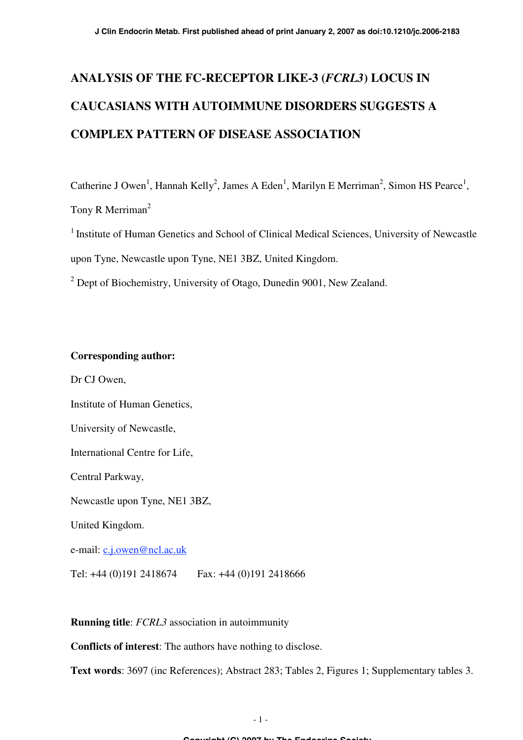# **ANALYSIS OF THE FC-RECEPTOR LIKE-3 (***FCRL3***) LOCUS IN CAUCASIANS WITH AUTOIMMUNE DISORDERS SUGGESTS A COMPLEX PATTERN OF DISEASE ASSOCIATION**

Catherine J Owen<sup>1</sup>, Hannah Kelly<sup>2</sup>, James A Eden<sup>1</sup>, Marilyn E Merriman<sup>2</sup>, Simon HS Pearce<sup>1</sup>,

Tony R Merriman<sup>2</sup>

<sup>1</sup> Institute of Human Genetics and School of Clinical Medical Sciences, University of Newcastle upon Tyne, Newcastle upon Tyne, NE1 3BZ, United Kingdom.

 $2^{2}$  Dept of Biochemistry, University of Otago, Dunedin 9001, New Zealand.

#### **Corresponding author:**

Dr CJ Owen,

Institute of Human Genetics,

University of Newcastle,

International Centre for Life,

Central Parkway,

Newcastle upon Tyne, NE1 3BZ,

United Kingdom.

e-mail: c.j.owen@ncl.ac.uk

Tel: +44 (0)191 2418674 Fax: +44 (0)191 2418666

**Running title**: *FCRL3* association in autoimmunity

**Conflicts of interest**: The authors have nothing to disclose.

**Text words**: 3697 (inc References); Abstract 283; Tables 2, Figures 1; Supplementary tables 3.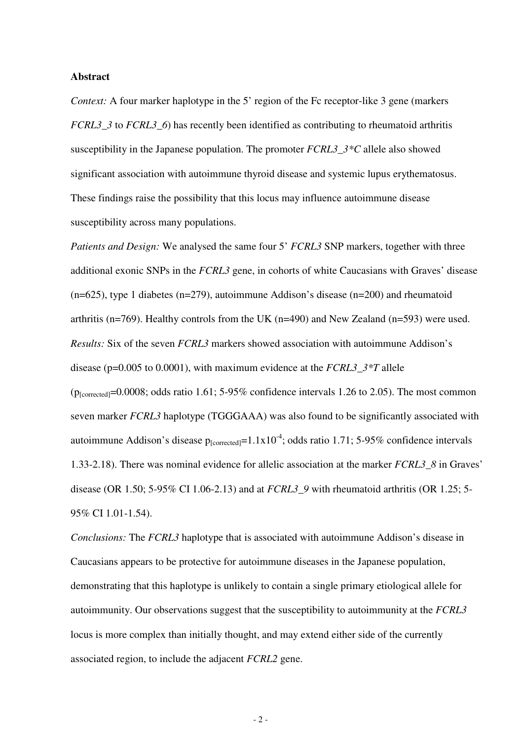#### **Abstract**

*Context:* A four marker haplotype in the 5' region of the Fc receptor-like 3 gene (markers) *FCRL3\_3* to *FCRL3\_6*) has recently been identified as contributing to rheumatoid arthritis susceptibility in the Japanese population. The promoter *FCRL3\_3\*C* allele also showed significant association with autoimmune thyroid disease and systemic lupus erythematosus. These findings raise the possibility that this locus may influence autoimmune disease susceptibility across many populations.

*Patients and Design:* We analysed the same four 5' *FCRL3* SNP markers, together with three additional exonic SNPs in the *FCRL3* gene, in cohorts of white Caucasians with Graves' disease  $(n=625)$ , type 1 diabetes  $(n=279)$ , autoimmune Addison's disease  $(n=200)$  and rheumatoid arthritis (n=769). Healthy controls from the UK (n=490) and New Zealand (n=593) were used. *Results:* Six of the seven *FCRL3* markers showed association with autoimmune Addison's disease (p=0.005 to 0.0001), with maximum evidence at the *FCRL3\_3\*T* allele ( $p_{\text{[corrected]}}$ =0.0008; odds ratio 1.61; 5-95% confidence intervals 1.26 to 2.05). The most common seven marker *FCRL3* haplotype (TGGGAAA) was also found to be significantly associated with autoimmune Addison's disease  $p_{\text{[corrected]}} = 1.1 \times 10^{-4}$ ; odds ratio 1.71; 5-95% confidence intervals 1.33-2.18). There was nominal evidence for allelic association at the marker *FCRL3\_8* in Graves' disease (OR 1.50; 5-95% CI 1.06-2.13) and at *FCRL3\_9* with rheumatoid arthritis (OR 1.25; 5- 95% CI 1.01-1.54).

*Conclusions:* The *FCRL3* haplotype that is associated with autoimmune Addison's disease in Caucasians appears to be protective for autoimmune diseases in the Japanese population, demonstrating that this haplotype is unlikely to contain a single primary etiological allele for autoimmunity. Our observations suggest that the susceptibility to autoimmunity at the *FCRL3* locus is more complex than initially thought, and may extend either side of the currently associated region, to include the adjacent *FCRL2* gene.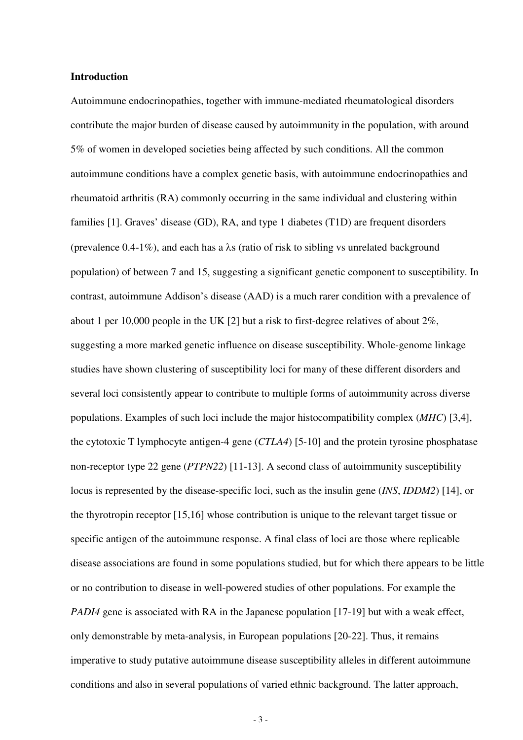#### **Introduction**

Autoimmune endocrinopathies, together with immune-mediated rheumatological disorders contribute the major burden of disease caused by autoimmunity in the population, with around 5% of women in developed societies being affected by such conditions. All the common autoimmune conditions have a complex genetic basis, with autoimmune endocrinopathies and rheumatoid arthritis (RA) commonly occurring in the same individual and clustering within families [1]. Graves' disease (GD), RA, and type 1 diabetes (T1D) are frequent disorders (prevalence 0.4-1%), and each has a  $\lambda$ s (ratio of risk to sibling vs unrelated background population) of between 7 and 15, suggesting a significant genetic component to susceptibility. In contrast, autoimmune Addison's disease (AAD) is a much rarer condition with a prevalence of about 1 per 10,000 people in the UK [2] but a risk to first-degree relatives of about 2%, suggesting a more marked genetic influence on disease susceptibility. Whole-genome linkage studies have shown clustering of susceptibility loci for many of these different disorders and several loci consistently appear to contribute to multiple forms of autoimmunity across diverse populations. Examples of such loci include the major histocompatibility complex (*MHC*) [3,4], the cytotoxic T lymphocyte antigen-4 gene (*CTLA4*) [5-10] and the protein tyrosine phosphatase non-receptor type 22 gene (*PTPN22*) [11-13]. A second class of autoimmunity susceptibility locus is represented by the disease-specific loci, such as the insulin gene (*INS*, *IDDM2*) [14], or the thyrotropin receptor [15,16] whose contribution is unique to the relevant target tissue or specific antigen of the autoimmune response. A final class of loci are those where replicable disease associations are found in some populations studied, but for which there appears to be little or no contribution to disease in well-powered studies of other populations. For example the *PADI4* gene is associated with RA in the Japanese population [17-19] but with a weak effect, only demonstrable by meta-analysis, in European populations [20-22]. Thus, it remains imperative to study putative autoimmune disease susceptibility alleles in different autoimmune conditions and also in several populations of varied ethnic background. The latter approach,

- 3 -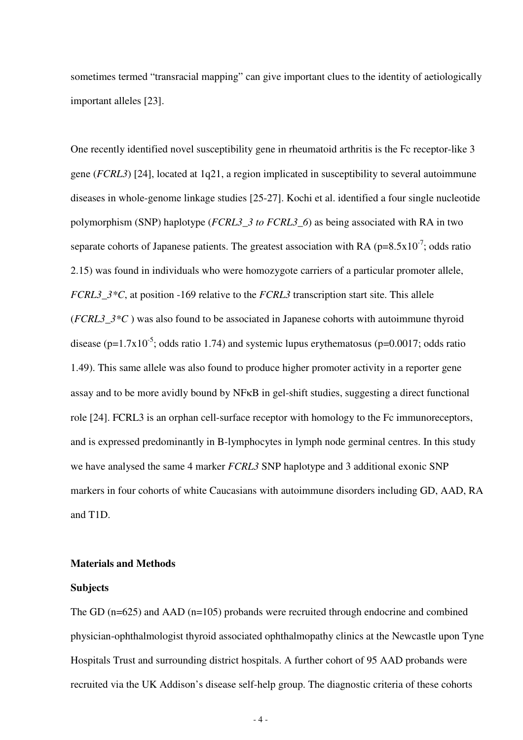sometimes termed "transracial mapping" can give important clues to the identity of aetiologically important alleles [23].

One recently identified novel susceptibility gene in rheumatoid arthritis is the Fc receptor-like 3 gene (*FCRL3*) [24], located at 1q21, a region implicated in susceptibility to several autoimmune diseases in whole-genome linkage studies [25-27]. Kochi et al. identified a four single nucleotide polymorphism (SNP) haplotype (*FCRL3\_3 to FCRL3\_6*) as being associated with RA in two separate cohorts of Japanese patients. The greatest association with RA ( $p=8.5x10^{-7}$ ; odds ratio 2.15) was found in individuals who were homozygote carriers of a particular promoter allele, *FCRL3*  $3*C$ , at position -169 relative to the *FCRL3* transcription start site. This allele (*FCRL3\_3\*C* ) was also found to be associated in Japanese cohorts with autoimmune thyroid disease ( $p=1.7x10^{-5}$ ; odds ratio 1.74) and systemic lupus erythematosus ( $p=0.0017$ ; odds ratio 1.49). This same allele was also found to produce higher promoter activity in a reporter gene assay and to be more avidly bound by NFKB in gel-shift studies, suggesting a direct functional role [24]. FCRL3 is an orphan cell-surface receptor with homology to the Fc immunoreceptors, and is expressed predominantly in B-lymphocytes in lymph node germinal centres. In this study we have analysed the same 4 marker *FCRL3* SNP haplotype and 3 additional exonic SNP markers in four cohorts of white Caucasians with autoimmune disorders including GD, AAD, RA and T1D.

#### **Materials and Methods**

#### **Subjects**

The GD (n=625) and AAD (n=105) probands were recruited through endocrine and combined physician-ophthalmologist thyroid associated ophthalmopathy clinics at the Newcastle upon Tyne Hospitals Trust and surrounding district hospitals. A further cohort of 95 AAD probands were recruited via the UK Addison's disease self-help group. The diagnostic criteria of these cohorts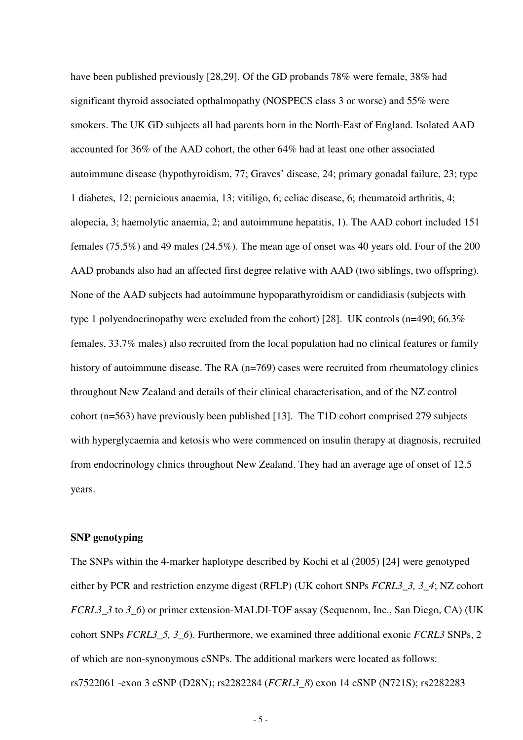have been published previously [28,29]. Of the GD probands 78% were female, 38% had significant thyroid associated opthalmopathy (NOSPECS class 3 or worse) and 55% were smokers. The UK GD subjects all had parents born in the North-East of England. Isolated AAD accounted for 36% of the AAD cohort, the other 64% had at least one other associated autoimmune disease (hypothyroidism, 77; Graves' disease, 24; primary gonadal failure, 23; type 1 diabetes, 12; pernicious anaemia, 13; vitiligo, 6; celiac disease, 6; rheumatoid arthritis, 4; alopecia, 3; haemolytic anaemia, 2; and autoimmune hepatitis, 1). The AAD cohort included 151 females (75.5%) and 49 males (24.5%). The mean age of onset was 40 years old. Four of the 200 AAD probands also had an affected first degree relative with AAD (two siblings, two offspring). None of the AAD subjects had autoimmune hypoparathyroidism or candidiasis (subjects with type 1 polyendocrinopathy were excluded from the cohort) [28]. UK controls (n=490; 66.3% females, 33.7% males) also recruited from the local population had no clinical features or family history of autoimmune disease. The RA (n=769) cases were recruited from rheumatology clinics throughout New Zealand and details of their clinical characterisation, and of the NZ control cohort (n=563) have previously been published [13]. The T1D cohort comprised 279 subjects with hyperglycaemia and ketosis who were commenced on insulin therapy at diagnosis, recruited from endocrinology clinics throughout New Zealand. They had an average age of onset of 12.5 years.

#### **SNP genotyping**

The SNPs within the 4-marker haplotype described by Kochi et al (2005) [24] were genotyped either by PCR and restriction enzyme digest (RFLP) (UK cohort SNPs *FCRL3\_3, 3\_4*; NZ cohort *FCRL3* 3 to 3 6) or primer extension-MALDI-TOF assay (Sequenom, Inc., San Diego, CA) (UK) cohort SNPs *FCRL3\_5, 3\_6*). Furthermore, we examined three additional exonic *FCRL3* SNPs, 2 of which are non-synonymous cSNPs. The additional markers were located as follows: rs7522061 -exon 3 cSNP (D28N); rs2282284 (*FCRL3\_8*) exon 14 cSNP (N721S); rs2282283

- 5 -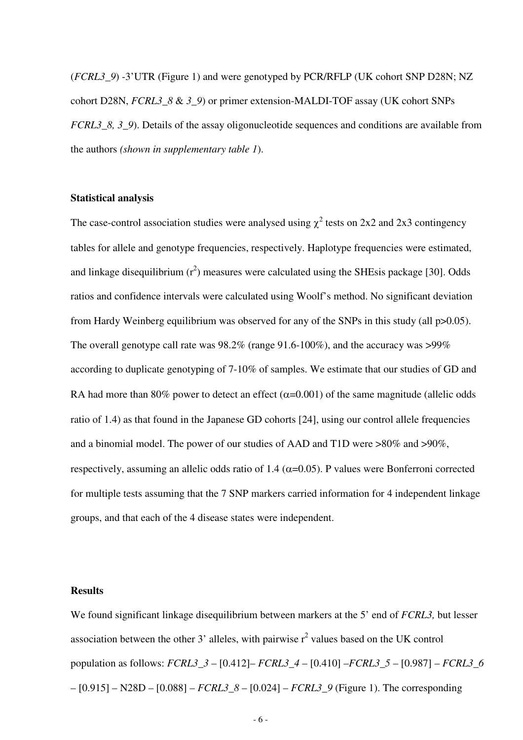(*FCRL3\_9*) -3'UTR (Figure 1) and were genotyped by PCR/RFLP (UK cohort SNP D28N; NZ cohort D28N, *FCRL3\_8* & *3\_9*) or primer extension-MALDI-TOF assay (UK cohort SNPs *FCRL3* 8, 3, 9). Details of the assay oligonucleotide sequences and conditions are available from the authors *(shown in supplementary table 1*).

#### **Statistical analysis**

The case-control association studies were analysed using  $\chi^2$  tests on 2x2 and 2x3 contingency tables for allele and genotype frequencies, respectively. Haplotype frequencies were estimated, and linkage disequilibrium  $(r^2)$  measures were calculated using the SHEsis package [30]. Odds ratios and confidence intervals were calculated using Woolf's method. No significant deviation from Hardy Weinberg equilibrium was observed for any of the SNPs in this study (all p>0.05). The overall genotype call rate was 98.2% (range 91.6-100%), and the accuracy was >99% according to duplicate genotyping of 7-10% of samples. We estimate that our studies of GD and RA had more than 80% power to detect an effect ( $\alpha$ =0.001) of the same magnitude (allelic odds ratio of 1.4) as that found in the Japanese GD cohorts [24], using our control allele frequencies and a binomial model. The power of our studies of AAD and T1D were >80% and >90%, respectively, assuming an allelic odds ratio of 1.4 ( $\alpha$ =0.05). P values were Bonferroni corrected for multiple tests assuming that the 7 SNP markers carried information for 4 independent linkage groups, and that each of the 4 disease states were independent.

#### **Results**

We found significant linkage disequilibrium between markers at the 5' end of *FCRL3,* but lesser association between the other 3' alleles, with pairwise  $r^2$  values based on the UK control population as follows: *FCRL3\_3* – [0.412]– *FCRL3\_4* – [0.410] –*FCRL3\_5* – [0.987] – *FCRL3\_6* – [0.915] – N28D – [0.088] – *FCRL3\_8* – [0.024] – *FCRL3\_9* (Figure 1). The corresponding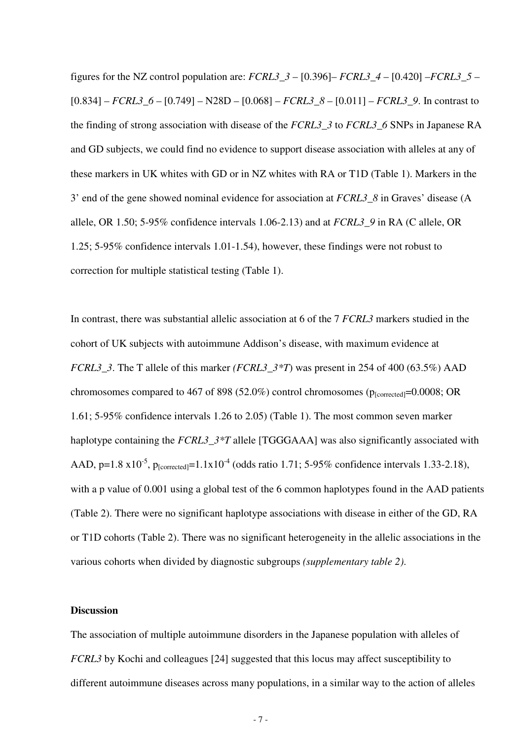figures for the NZ control population are: *FCRL3*  $3 - [0.396]$ – *FCRL3*  $4 - [0.420]$ –*FCRL3*  $5 [0.834]$  – *FCRL3* 6 –  $[0.749]$  – N28D –  $[0.068]$  – *FCRL3* 8 –  $[0.011]$  – *FCRL3* 9. In contrast to the finding of strong association with disease of the *FCRL3\_3* to *FCRL3\_6* SNPs in Japanese RA and GD subjects, we could find no evidence to support disease association with alleles at any of these markers in UK whites with GD or in NZ whites with RA or T1D (Table 1). Markers in the 3' end of the gene showed nominal evidence for association at *FCRL3\_8* in Graves' disease (A allele, OR 1.50; 5-95% confidence intervals 1.06-2.13) and at *FCRL3\_9* in RA (C allele, OR 1.25; 5-95% confidence intervals 1.01-1.54), however, these findings were not robust to correction for multiple statistical testing (Table 1).

In contrast, there was substantial allelic association at 6 of the 7 *FCRL3* markers studied in the cohort of UK subjects with autoimmune Addison's disease, with maximum evidence at *FCRL3\_3*. The T allele of this marker *(FCRL3\_3\*T*) was present in 254 of 400 (63.5%) AAD chromosomes compared to 467 of 898 (52.0%) control chromosomes ( $p_{\text{1corrected}}$ =0.0008; OR 1.61; 5-95% confidence intervals 1.26 to 2.05) (Table 1). The most common seven marker haplotype containing the *FCRL3\_3\*T* allele [TGGGAAA] was also significantly associated with AAD, p=1.8  $x10^{-5}$ ,  $p_{\text{[corrected]}} = 1.1x10^{-4}$  (odds ratio 1.71; 5-95% confidence intervals 1.33-2.18), with a p value of 0.001 using a global test of the 6 common haplotypes found in the AAD patients (Table 2). There were no significant haplotype associations with disease in either of the GD, RA or T1D cohorts (Table 2). There was no significant heterogeneity in the allelic associations in the various cohorts when divided by diagnostic subgroups *(supplementary table 2)*.

#### **Discussion**

The association of multiple autoimmune disorders in the Japanese population with alleles of *FCRL3* by Kochi and colleagues [24] suggested that this locus may affect susceptibility to different autoimmune diseases across many populations, in a similar way to the action of alleles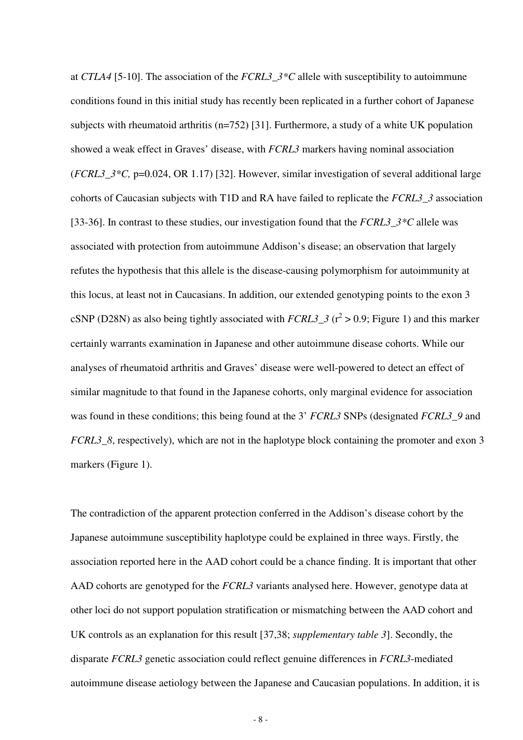at *CTLA4* [5-10]. The association of the *FCRL3\_3\*C* allele with susceptibility to autoimmune conditions found in this initial study has recently been replicated in a further cohort of Japanese subjects with rheumatoid arthritis (n=752) [31]. Furthermore, a study of a white UK population showed a weak effect in Graves' disease, with *FCRL3* markers having nominal association (*FCRL3\_3\*C,* p=0.024, OR 1.17) [32]. However, similar investigation of several additional large cohorts of Caucasian subjects with T1D and RA have failed to replicate the *FCRL3\_3* association [33-36]. In contrast to these studies, our investigation found that the *FCRL3\_3\*C* allele was associated with protection from autoimmune Addison's disease; an observation that largely refutes the hypothesis that this allele is the disease-causing polymorphism for autoimmunity at this locus, at least not in Caucasians. In addition, our extended genotyping points to the exon 3 cSNP (D28N) as also being tightly associated with  $FCRL3_3$  ( $r^2 > 0.9$ ; Figure 1) and this marker certainly warrants examination in Japanese and other autoimmune disease cohorts. While our analyses of rheumatoid arthritis and Graves' disease were well-powered to detect an effect of similar magnitude to that found in the Japanese cohorts, only marginal evidence for association was found in these conditions; this being found at the 3' *FCRL3* SNPs (designated *FCRL3\_9* and *FCRL3* 8, respectively), which are not in the haplotype block containing the promoter and exon 3 markers (Figure 1).

The contradiction of the apparent protection conferred in the Addison's disease cohort by the Japanese autoimmune susceptibility haplotype could be explained in three ways. Firstly, the association reported here in the AAD cohort could be a chance finding. It is important that other AAD cohorts are genotyped for the *FCRL3* variants analysed here. However, genotype data at other loci do not support population stratification or mismatching between the AAD cohort and UK controls as an explanation for this result [37,38; *supplementary table 3*]. Secondly, the disparate *FCRL3* genetic association could reflect genuine differences in *FCRL3*-mediated autoimmune disease aetiology between the Japanese and Caucasian populations. In addition, it is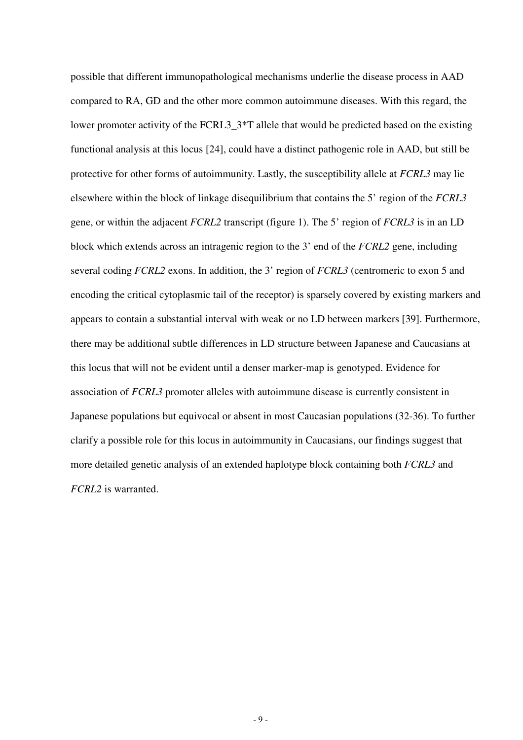possible that different immunopathological mechanisms underlie the disease process in AAD compared to RA, GD and the other more common autoimmune diseases. With this regard, the lower promoter activity of the FCRL3\_3\*T allele that would be predicted based on the existing functional analysis at this locus [24], could have a distinct pathogenic role in AAD, but still be protective for other forms of autoimmunity. Lastly, the susceptibility allele at *FCRL3* may lie elsewhere within the block of linkage disequilibrium that contains the 5' region of the *FCRL3* gene, or within the adjacent *FCRL2* transcript (figure 1). The 5' region of *FCRL3* is in an LD block which extends across an intragenic region to the 3' end of the *FCRL2* gene, including several coding *FCRL2* exons. In addition, the 3' region of *FCRL3* (centromeric to exon 5 and encoding the critical cytoplasmic tail of the receptor) is sparsely covered by existing markers and appears to contain a substantial interval with weak or no LD between markers [39]. Furthermore, there may be additional subtle differences in LD structure between Japanese and Caucasians at this locus that will not be evident until a denser marker-map is genotyped. Evidence for association of *FCRL3* promoter alleles with autoimmune disease is currently consistent in Japanese populations but equivocal or absent in most Caucasian populations (32-36). To further clarify a possible role for this locus in autoimmunity in Caucasians, our findings suggest that more detailed genetic analysis of an extended haplotype block containing both *FCRL3* and *FCRL2* is warranted.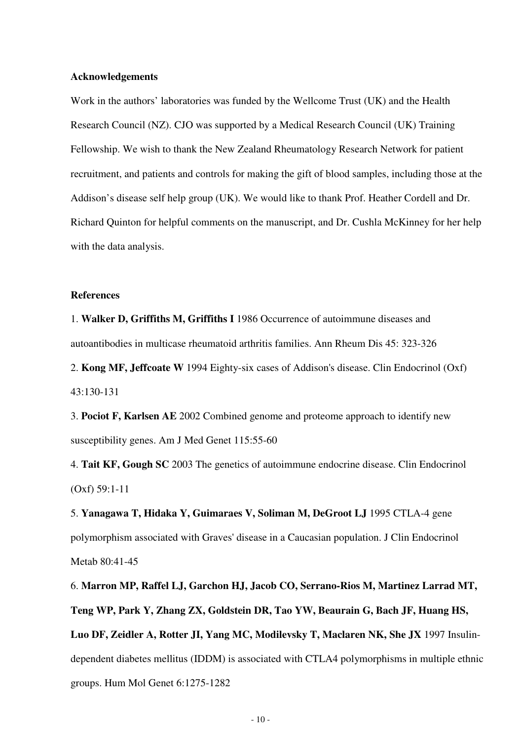#### **Acknowledgements**

Work in the authors' laboratories was funded by the Wellcome Trust (UK) and the Health Research Council (NZ). CJO was supported by a Medical Research Council (UK) Training Fellowship. We wish to thank the New Zealand Rheumatology Research Network for patient recruitment, and patients and controls for making the gift of blood samples, including those at the Addison's disease self help group (UK). We would like to thank Prof. Heather Cordell and Dr. Richard Quinton for helpful comments on the manuscript, and Dr. Cushla McKinney for her help with the data analysis.

#### **References**

1. **Walker D, Griffiths M, Griffiths I** 1986 Occurrence of autoimmune diseases and autoantibodies in multicase rheumatoid arthritis families. Ann Rheum Dis 45: 323-326

2. **Kong MF, Jeffcoate W** 1994 Eighty-six cases of Addison's disease. Clin Endocrinol (Oxf) 43:130-131

3. **Pociot F, Karlsen AE** 2002 Combined genome and proteome approach to identify new susceptibility genes. Am J Med Genet 115:55-60

4. **Tait KF, Gough SC** 2003 The genetics of autoimmune endocrine disease. Clin Endocrinol (Oxf) 59:1-11

5. **Yanagawa T, Hidaka Y, Guimaraes V, Soliman M, DeGroot LJ** 1995 CTLA-4 gene polymorphism associated with Graves' disease in a Caucasian population. J Clin Endocrinol Metab 80:41-45

6. **Marron MP, Raffel LJ, Garchon HJ, Jacob CO, Serrano-Rios M, Martinez Larrad MT, Teng WP, Park Y, Zhang ZX, Goldstein DR, Tao YW, Beaurain G, Bach JF, Huang HS, Luo DF, Zeidler A, Rotter JI, Yang MC, Modilevsky T, Maclaren NK, She JX** 1997 Insulindependent diabetes mellitus (IDDM) is associated with CTLA4 polymorphisms in multiple ethnic groups. Hum Mol Genet 6:1275-1282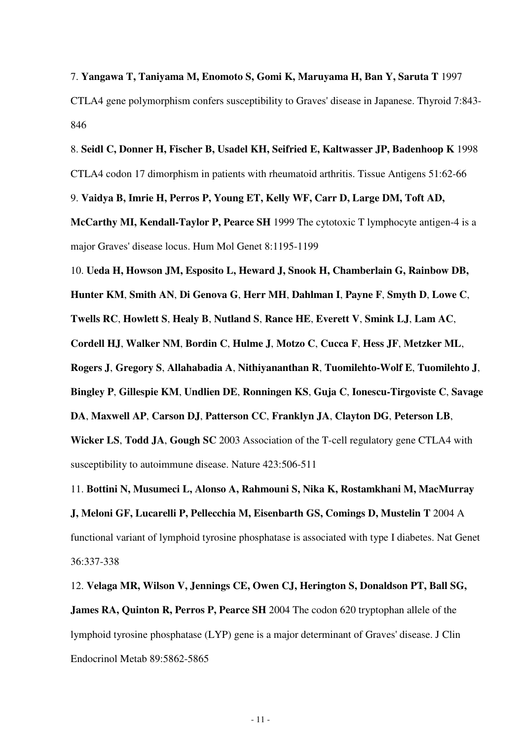7. **Yangawa T, Taniyama M, Enomoto S, Gomi K, Maruyama H, Ban Y, Saruta T** 1997 CTLA4 gene polymorphism confers susceptibility to Graves' disease in Japanese. Thyroid 7:843- 846

8. **Seidl C, Donner H, Fischer B, Usadel KH, Seifried E, Kaltwasser JP, Badenhoop K** 1998 CTLA4 codon 17 dimorphism in patients with rheumatoid arthritis. Tissue Antigens 51:62-66

9. **Vaidya B, Imrie H, Perros P, Young ET, Kelly WF, Carr D, Large DM, Toft AD,** 

**McCarthy MI, Kendall-Taylor P, Pearce SH** 1999 The cytotoxic T lymphocyte antigen-4 is a major Graves' disease locus. Hum Mol Genet 8:1195-1199

10. **Ueda H, Howson JM, Esposito L, Heward J, Snook H, Chamberlain G, Rainbow DB,** 

**Hunter KM**, **Smith AN**, **Di Genova G**, **Herr MH**, **Dahlman I**, **Payne F**, **Smyth D**, **Lowe C**,

**Twells RC**, **Howlett S**, **Healy B**, **Nutland S**, **Rance HE**, **Everett V**, **Smink LJ**, **Lam AC**,

**Cordell HJ**, **Walker NM**, **Bordin C**, **Hulme J**, **Motzo C**, **Cucca F**, **Hess JF**, **Metzker ML**,

**Rogers J**, **Gregory S**, **Allahabadia A**, **Nithiyananthan R**, **Tuomilehto-Wolf E**, **Tuomilehto J**,

**Bingley P**, **Gillespie KM**, **Undlien DE**, **Ronningen KS**, **Guja C**, **Ionescu-Tirgoviste C**, **Savage**

**DA**, **Maxwell AP**, **Carson DJ**, **Patterson CC**, **Franklyn JA**, **Clayton DG**, **Peterson LB**,

**Wicker LS**, **Todd JA**, **Gough SC** 2003 Association of the T-cell regulatory gene CTLA4 with susceptibility to autoimmune disease. Nature 423:506-511

11. **Bottini N, Musumeci L, Alonso A, Rahmouni S, Nika K, Rostamkhani M, MacMurray J, Meloni GF, Lucarelli P, Pellecchia M, Eisenbarth GS, Comings D, Mustelin T** 2004 A functional variant of lymphoid tyrosine phosphatase is associated with type I diabetes. Nat Genet 36:337-338

12. **Velaga MR, Wilson V, Jennings CE, Owen CJ, Herington S, Donaldson PT, Ball SG, James RA, Quinton R, Perros P, Pearce SH** 2004 The codon 620 tryptophan allele of the lymphoid tyrosine phosphatase (LYP) gene is a major determinant of Graves' disease. J Clin Endocrinol Metab 89:5862-5865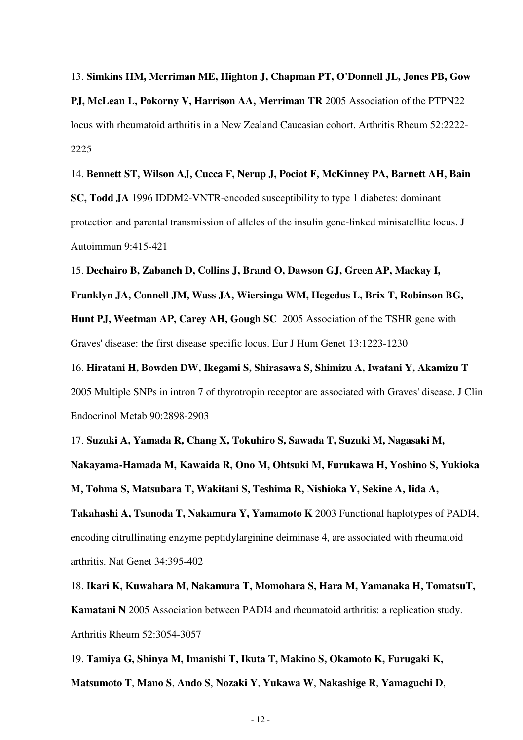13. **Simkins HM, Merriman ME, Highton J, Chapman PT, O'Donnell JL, Jones PB, Gow PJ, McLean L, Pokorny V, Harrison AA, Merriman TR** 2005 Association of the PTPN22 locus with rheumatoid arthritis in a New Zealand Caucasian cohort. Arthritis Rheum 52:2222- 2225

14. **Bennett ST, Wilson AJ, Cucca F, Nerup J, Pociot F, McKinney PA, Barnett AH, Bain SC, Todd JA** 1996 IDDM2-VNTR-encoded susceptibility to type 1 diabetes: dominant protection and parental transmission of alleles of the insulin gene-linked minisatellite locus. J Autoimmun 9:415-421

15. **Dechairo B, Zabaneh D, Collins J, Brand O, Dawson GJ, Green AP, Mackay I, Franklyn JA, Connell JM, Wass JA, Wiersinga WM, Hegedus L, Brix T, Robinson BG, Hunt PJ, Weetman AP, Carey AH, Gough SC** 2005 Association of the TSHR gene with Graves' disease: the first disease specific locus. Eur J Hum Genet 13:1223-1230

16. **Hiratani H, Bowden DW, Ikegami S, Shirasawa S, Shimizu A, Iwatani Y, Akamizu T** 2005 Multiple SNPs in intron 7 of thyrotropin receptor are associated with Graves' disease. J Clin Endocrinol Metab 90:2898-2903

17. **Suzuki A, Yamada R, Chang X, Tokuhiro S, Sawada T, Suzuki M, Nagasaki M, Nakayama-Hamada M, Kawaida R, Ono M, Ohtsuki M, Furukawa H, Yoshino S, Yukioka M, Tohma S, Matsubara T, Wakitani S, Teshima R, Nishioka Y, Sekine A, Iida A, Takahashi A, Tsunoda T, Nakamura Y, Yamamoto K** 2003 Functional haplotypes of PADI4, encoding citrullinating enzyme peptidylarginine deiminase 4, are associated with rheumatoid arthritis. Nat Genet 34:395-402

18. **Ikari K, Kuwahara M, Nakamura T, Momohara S, Hara M, Yamanaka H, TomatsuT, Kamatani N** 2005 Association between PADI4 and rheumatoid arthritis: a replication study. Arthritis Rheum 52:3054-3057

19. **Tamiya G, Shinya M, Imanishi T, Ikuta T, Makino S, Okamoto K, Furugaki K, Matsumoto T**, **Mano S**, **Ando S**, **Nozaki Y**, **Yukawa W**, **Nakashige R**, **Yamaguchi D**,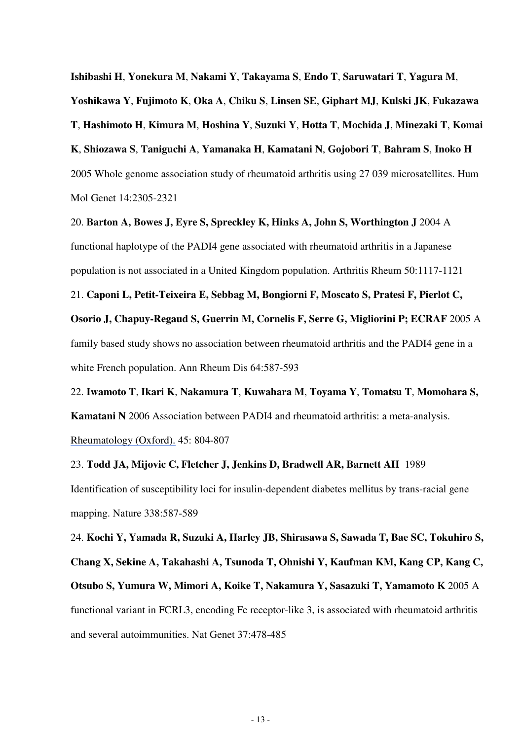**Ishibashi H**, **Yonekura M**, **Nakami Y**, **Takayama S**, **Endo T**, **Saruwatari T**, **Yagura M**, **Yoshikawa Y**, **Fujimoto K**, **Oka A**, **Chiku S**, **Linsen SE**, **Giphart MJ**, **Kulski JK**, **Fukazawa T**, **Hashimoto H**, **Kimura M**, **Hoshina Y**, **Suzuki Y**, **Hotta T**, **Mochida J**, **Minezaki T**, **Komai K**, **Shiozawa S**, **Taniguchi A**, **Yamanaka H**, **Kamatani N**, **Gojobori T**, **Bahram S**, **Inoko H** 2005 Whole genome association study of rheumatoid arthritis using 27 039 microsatellites. Hum Mol Genet 14:2305-2321

20. **Barton A, Bowes J, Eyre S, Spreckley K, Hinks A, John S, Worthington J** 2004 A functional haplotype of the PADI4 gene associated with rheumatoid arthritis in a Japanese population is not associated in a United Kingdom population. Arthritis Rheum 50:1117-1121

21. **Caponi L, Petit-Teixeira E, Sebbag M, Bongiorni F, Moscato S, Pratesi F, Pierlot C, Osorio J, Chapuy-Regaud S, Guerrin M, Cornelis F, Serre G, Migliorini P; ECRAF** 2005 A family based study shows no association between rheumatoid arthritis and the PADI4 gene in a white French population. Ann Rheum Dis 64:587-593

22. **Iwamoto T**, **Ikari K**, **Nakamura T**, **Kuwahara M**, **Toyama Y**, **Tomatsu T**, **Momohara S, Kamatani N** 2006 Association between PADI4 and rheumatoid arthritis: a meta-analysis. Rheumatology (Oxford). 45: 804-807

23. **Todd JA, Mijovic C, Fletcher J, Jenkins D, Bradwell AR, Barnett AH** 1989 Identification of susceptibility loci for insulin-dependent diabetes mellitus by trans-racial gene mapping. Nature 338:587-589

24. **Kochi Y, Yamada R, Suzuki A, Harley JB, Shirasawa S, Sawada T, Bae SC, Tokuhiro S, Chang X, Sekine A, Takahashi A, Tsunoda T, Ohnishi Y, Kaufman KM, Kang CP, Kang C, Otsubo S, Yumura W, Mimori A, Koike T, Nakamura Y, Sasazuki T, Yamamoto K** 2005 A functional variant in FCRL3, encoding Fc receptor-like 3, is associated with rheumatoid arthritis and several autoimmunities. Nat Genet 37:478-485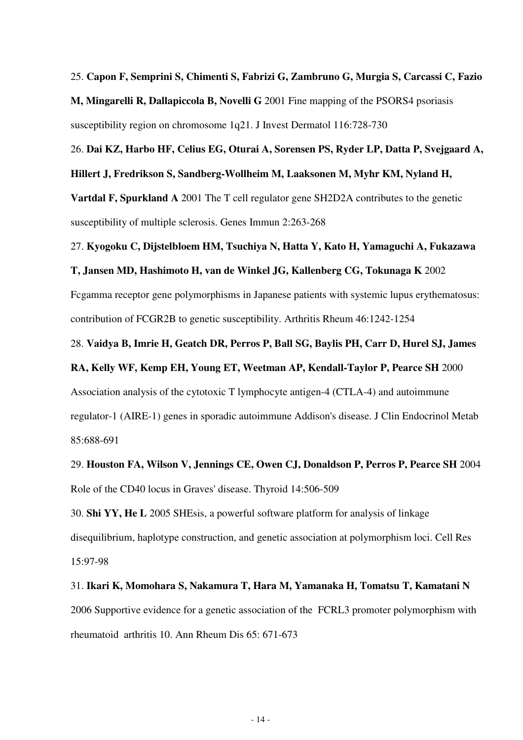#### 25. **Capon F, Semprini S, Chimenti S, Fabrizi G, Zambruno G, Murgia S, Carcassi C, Fazio**

**M, Mingarelli R, Dallapiccola B, Novelli G** 2001 Fine mapping of the PSORS4 psoriasis susceptibility region on chromosome 1q21. J Invest Dermatol 116:728-730

### 26. **Dai KZ, Harbo HF, Celius EG, Oturai A, Sorensen PS, Ryder LP, Datta P, Svejgaard A, Hillert J, Fredrikson S, Sandberg-Wollheim M, Laaksonen M, Myhr KM, Nyland H,**

**Vartdal F, Spurkland A** 2001 The T cell regulator gene SH2D2A contributes to the genetic susceptibility of multiple sclerosis. Genes Immun 2:263-268

#### 27. **Kyogoku C, Dijstelbloem HM, Tsuchiya N, Hatta Y, Kato H, Yamaguchi A, Fukazawa**

#### **T, Jansen MD, Hashimoto H, van de Winkel JG, Kallenberg CG, Tokunaga K** 2002

Fcgamma receptor gene polymorphisms in Japanese patients with systemic lupus erythematosus: contribution of FCGR2B to genetic susceptibility. Arthritis Rheum 46:1242-1254

#### 28. **Vaidya B, Imrie H, Geatch DR, Perros P, Ball SG, Baylis PH, Carr D, Hurel SJ, James**

#### **RA, Kelly WF, Kemp EH, Young ET, Weetman AP, Kendall-Taylor P, Pearce SH** 2000

Association analysis of the cytotoxic T lymphocyte antigen-4 (CTLA-4) and autoimmune

regulator-1 (AIRE-1) genes in sporadic autoimmune Addison's disease. J Clin Endocrinol Metab 85:688-691

### 29. **Houston FA, Wilson V, Jennings CE, Owen CJ, Donaldson P, Perros P, Pearce SH** 2004 Role of the CD40 locus in Graves' disease. Thyroid 14:506-509

30. **Shi YY, He L** 2005 SHEsis, a powerful software platform for analysis of linkage disequilibrium, haplotype construction, and genetic association at polymorphism loci. Cell Res 15:97-98

## 31. **Ikari K, Momohara S, Nakamura T, Hara M, Yamanaka H, Tomatsu T, Kamatani N** 2006 Supportive evidence for a genetic association of the FCRL3 promoter polymorphism with rheumatoid arthritis 10. Ann Rheum Dis 65: 671-673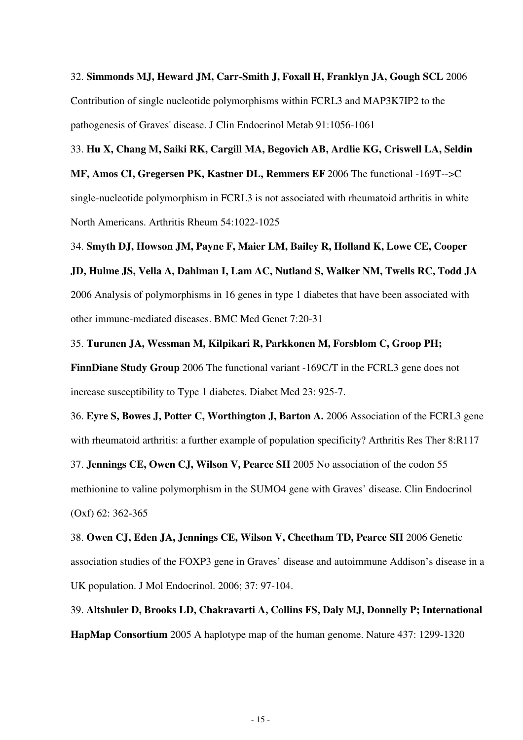32. **Simmonds MJ, Heward JM, Carr-Smith J, Foxall H, Franklyn JA, Gough SCL** 2006 Contribution of single nucleotide polymorphisms within FCRL3 and MAP3K7IP2 to the pathogenesis of Graves' disease. J Clin Endocrinol Metab 91:1056-1061

33. **Hu X, Chang M, Saiki RK, Cargill MA, Begovich AB, Ardlie KG, Criswell LA, Seldin MF, Amos CI, Gregersen PK, Kastner DL, Remmers EF** 2006 The functional -169T-->C single-nucleotide polymorphism in FCRL3 is not associated with rheumatoid arthritis in white North Americans. Arthritis Rheum 54:1022-1025

34. **Smyth DJ, Howson JM, Payne F, Maier LM, Bailey R, Holland K, Lowe CE, Cooper JD, Hulme JS, Vella A, Dahlman I, Lam AC, Nutland S, Walker NM, Twells RC, Todd JA**

2006 Analysis of polymorphisms in 16 genes in type 1 diabetes that have been associated with other immune-mediated diseases. BMC Med Genet 7:20-31

35. **Turunen JA, Wessman M, Kilpikari R, Parkkonen M, Forsblom C, Groop PH; FinnDiane Study Group** 2006 The functional variant -169C/T in the FCRL3 gene does not increase susceptibility to Type 1 diabetes. Diabet Med 23: 925-7.

36. **Eyre S, Bowes J, Potter C, Worthington J, Barton A.** 2006 Association of the FCRL3 gene with rheumatoid arthritis: a further example of population specificity? Arthritis Res Ther 8:R117 37. **Jennings CE, Owen CJ, Wilson V, Pearce SH** 2005 No association of the codon 55

methionine to valine polymorphism in the SUMO4 gene with Graves' disease. Clin Endocrinol (Oxf) 62: 362-365

38. **Owen CJ, Eden JA, Jennings CE, Wilson V, Cheetham TD, Pearce SH** 2006 Genetic association studies of the FOXP3 gene in Graves' disease and autoimmune Addison's disease in a UK population. J Mol Endocrinol. 2006; 37: 97-104.

39. **Altshuler D, Brooks LD, Chakravarti A, Collins FS, Daly MJ, Donnelly P; International HapMap Consortium** 2005 A haplotype map of the human genome. Nature 437: 1299-1320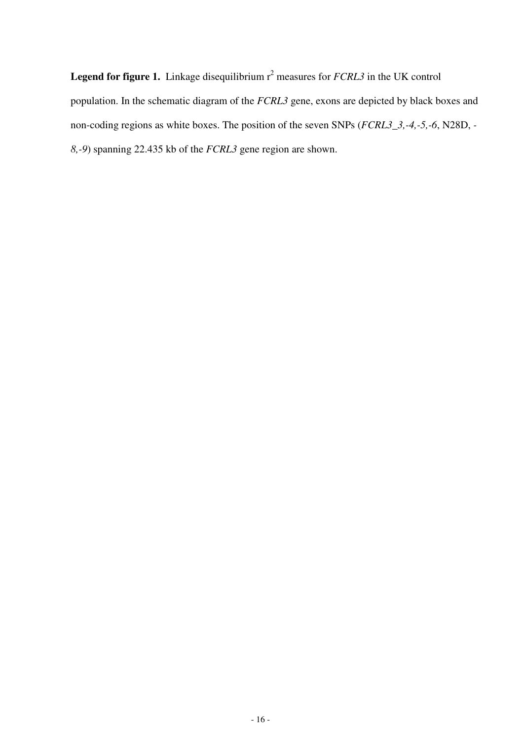**Legend for figure 1.** Linkage disequilibrium r<sup>2</sup> measures for *FCRL3* in the UK control population. In the schematic diagram of the *FCRL3* gene, exons are depicted by black boxes and non-coding regions as white boxes. The position of the seven SNPs (*FCRL3\_3,-4,-5,-6*, N28D, *- 8,-9*) spanning 22.435 kb of the *FCRL3* gene region are shown.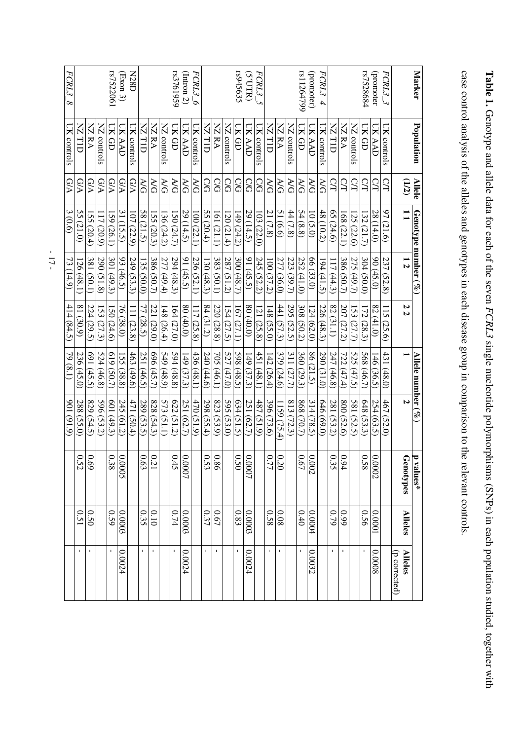| Marker                | Population    | Allele    | Genotype number $(\%)$   |               |                           | Allele number $(\%)$ |               | Ħ<br>values*                           |                |                                 |
|-----------------------|---------------|-----------|--------------------------|---------------|---------------------------|----------------------|---------------|----------------------------------------|----------------|---------------------------------|
|                       |               | (12)      | $\mathbf{I}$             | 12            | 22                        |                      | N             | <b>Genotypes</b>                       | <b>Alleles</b> | (p corrected)<br><b>Alleles</b> |
| $FCRL3\_3$            | UK controls   | S         | 97 (21.6)                | 237<br>(52.8) | $\overline{15}$<br>(25.6) | 431<br>(48.0)        | 467<br>(52.0) |                                        |                |                                 |
| (promoter             | UK AAD        | SI        | 28(14.0)                 | 90(45.0)      | 82(41.0)                  | 46(36.5)             | 254 (63.5)    | $\circ$<br>7000                        | 10000          | 80000                           |
| rs7528684             | UK GD         | СЛ        | 132 (21.7                | 304(50.0)     | 172 (28.3                 | 568 (46.7)           | 648 (53.3)    | $\circ$<br>58                          | 950            | $\mathbf{I}$                    |
|                       | NZ controls   | S         | 125 (22.6)               | 275 (49.7)    | 153 (27.7)                | 525 (47.5)           | 581 (52.5)    |                                        |                |                                 |
|                       | <b>NA SN</b>  | S         | 168 (22.1)               | 386 (50.7)    | 207 (27.2)                | 722 (47.4)           | 800 (52.6)    | $\overline{\phantom{a}}$<br>$\dot{9}4$ | 660            | $\mathbf I$                     |
|                       | NZ TID        | CL        | 65(24.6)                 | 17(44.3)      | 82(31.1)                  | 247 (46.8)           | 281 (53.2)    | $\circ$<br>35                          | 62.0           | $\mathbf I$                     |
| $FCRL3\_4$            | UK controls   | ΧG        | 48 (10.2)                | [94(41.5      | 226 (48.3)                | 290 (31.0)           | 646(69.0)     |                                        |                |                                 |
| (promoter)            | <b>UK AAD</b> | <b>RG</b> | 10(5.0)                  | 66(33.0)      | 124(62.0)                 | 86 (21.5)            | 314(78.5)     | $\circ$<br>002                         | 00004          | 0.0032                          |
| rs11264799            | UK GD         | RG        | 54(8.8)                  | 252 (41.0)    | 308 (50.2)                | 360 (29.3)           | 868 (70.7)    | $\circ$<br>$-67$                       | 0.40           | $\mathbf I$                     |
|                       | NZ controls   | RG        | 44 (7.8)                 | 223 (39.7)    | 295 (52.5)                | 311 (27.7)           | 813 (72.3)    |                                        |                |                                 |
|                       | <b>NA SN</b>  | УG        | 51(6.6)                  | 277 (36.0)    | 441 (57.3)                | 379 (24.6)           | 159(75.4)     | $\circ$<br>20                          | 80.0           | $\mathbf I$                     |
|                       | NZ TID        | <b>AG</b> | 21 (7.8)                 | 100(37.2)     | 48(55.0)                  | 42(26.4)             | 396 (73.6)    | <b>177</b>                             | 820            | $\mathbf{I}$                    |
| FCRL3_5               | UK controls   | SQ        | 103(22.0)                | 245 (52.2)    | 21(25.8)                  | 451 (48.1)           | (51.9)        |                                        |                |                                 |
| (5'UTR)               | UK AAD        | SQ        | 29 (14.5)                | 91(45.5)      | $(0.04)$ 08               | 149(37.3)            | 251 (62.7)    | $\circ$<br>LOOO'                       | 0.0003         | 1200.00                         |
| rs945635              | $C$ K $G$ D   | ဌ         | 149 (24.2)               | 300 (48.7)    | 167 (27.1)                | 598(48.5)            | 634 (51.5)    | $\circ$<br>50                          | 0.83           | $\bar{1}$                       |
|                       | NZ controls   | SQ        | 120 (21.4)               | 287 (51.2)    | 154(27.5)                 | 527(47.0)            | 595 (53.0)    |                                        |                |                                 |
|                       | NZRA          | S         | 61(21.1)                 | 383 (50.1)    | 220 (28.8)                | 705 (46.1)           | 823 (53.9)    | $\circ$<br>86                          | $0.67\,$       | $\mathbf I$                     |
|                       | NZ TID        | <b>CG</b> | 55 $(20.4)$              | (30(48.3))    | 84(31.2)                  | 240 (44.6)           | 298(55.4)     | $\circ$<br>53                          | 0.37           | $\mathbf{I}$                    |
| $\overline{FCRL3\_6}$ | UK controls   | ŘQ        | 100(22.1)                | 236 (52.1)    | 17(25.8)                  | 436 (48.1)           | (51.9)        |                                        |                |                                 |
| (Intron 2)            | UK AAD        | RG        | 29 (14.5)                | 91 $(45.5)$   | $(0.04)$ 08               | [49(37.3)            | 251 (62.7)    | $\circ$<br>-0007                       | 0.0003         | 0.0024                          |
| rs3761959             | UK GD         | $\aleph$  | I50 (24.7)               | 294 (48.3)    | 164(27.0)                 | 594(48.8)            | 622 (51.2)    | $\circ$<br>45                          | 0.74           | $\mathbf{I}$                    |
|                       | NZ controls   | УG        | 136(24.2)                | 277 (49.4)    | 148(26.4)                 | 549(48.9)            | 573 (51.1)    |                                        |                |                                 |
|                       | NZRA          | AG        | <b>55 (20.3)</b>         | 386 (50.7)    | 221 (29.0)                | 696(45.7)            | 828 (54.3)    | $\circ$<br>$\overline{21}$             | 0.10           | $\mathbf I$                     |
|                       | <b>NZTID</b>  | УG        | 58 $(21.5)$              | 135(50.0)     | 77 (28.5)                 | 251 (46.5            | 289 (53.5)    | 0.63                                   | 0.35           | $\mathbf I$                     |
| <b>N28D</b>           | UK controls   | G/A       | 07(22.9)                 | 249 (53.3)    | 11 (23.8)                 | 463 (49.6)           | 471 (50.4)    |                                        |                |                                 |
| $\rm (Exon~3)$        | UK AAD        | G/A       | 31 (15.5)                | 93(46.5)      | 76 (38.0)                 | [55 (38.8)           | 245 (61.2)    | $\circ$<br>S000'                       | 0.0003         | 0.0024                          |
| rs7522061             | UK GD         | GA        | (59(26.1)                | 301 (49.3)    | 50(24.6)                  | (50.7)               | 601 (49.3)    | $\circ$<br>38                          | 0.59           |                                 |
|                       | NZ controls   | G/A       | $\overline{1}$<br>(20.9) | 290 (51.8)    | 53(27.3)                  | 524(46.8)            | 596 (53.2)    |                                        |                |                                 |
|                       | <b>NZRA</b>   | G/A       | ISS<br>(20.4)            | 381<br>(50.1) | 224(<br>(29.5)            | 169<br>(45.5)        | 829(54.5)     | $\circ$<br>69                          | 0.50           | $\mathbf I$                     |
|                       | <b>NZTID</b>  | G/A       | 55 (21.0)                | 126 (48.1)    | 81(30.9)                  | 236 (45.0)           | 288 (55.0)    | $\circ$<br>52                          | 150            | $\blacksquare$                  |
| FCRL3<br>'∞           | UK controls   | G/A       | 3(0.6)                   | 73 (14.9)     | (34.5)                    | $(1.8)$ 67           | (616)106      |                                        |                |                                 |

case control analysis of the alleles and genotypes in each disease group in comparison to the relevant controls.

Table 1. Genotype and allele data for each of the seven FCRL3 single nucleotide polymorphisms (SNPs) in each population studied, together with

 $-17-$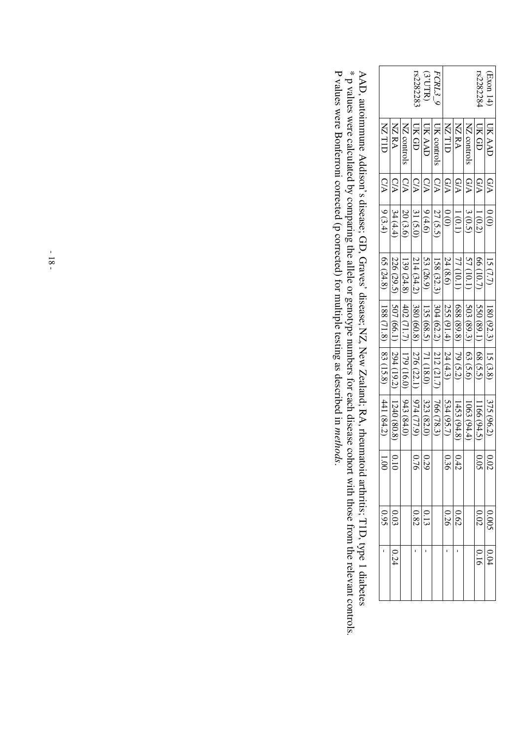|                                                              |             |             | rs228228.     | (TTV)               | <i>FCRL3_9</i>         |                  |                       |             | rs228228<    | $\begin{bmatrix} Exon 14 \end{bmatrix}$ |
|--------------------------------------------------------------|-------------|-------------|---------------|---------------------|------------------------|------------------|-----------------------|-------------|--------------|-----------------------------------------|
| <b>NZTIL</b>                                                 | <b>NZRA</b> | NZ controls | UK GD         | UK AAD              | <b>UK</b> controls     | <b>NZTID</b>     | <b>NZRA</b>           | NZ controls | <b>UK GD</b> | <b>UK AAL</b>                           |
| C/A                                                          |             | C/A         | CЛ            | C/A                 | C/A                    | G/A              | G/A                   | G/A         | G/A          | <b>G/A</b>                              |
| (3.4)                                                        | 34(4.4)     | 20 (3.6)    | 31 (5.0)      | 9(4.6)              | 27 (5.5)               | $\frac{0}{0}$    | 1(0.1)                | 3(0.5)      | 1(0.2)       | $\frac{0}{2}$                           |
| 65 (24.8)                                                    | 226 (29.5)  | 139 (24.8)  | 214(34.2)     | 53 (26.9)           | 158 (32.3)             | 24 (8.6)         | 77 (10.1)             | 57 (10.1)   | 66(10.7)     | 15(7.7)                                 |
| $\begin{bmatrix} 188 & (71.8) \\ 188 & (71.8) \end{bmatrix}$ | [507 (66.1) | 402 (71.7)  | 380 (60.8)    | 135 (68.5)          | 304 (62.2)  212 (21.7) | 255 (91.4)       | 688 (89.8)   79 (5.2) | 503(89.3)   | 550 (89.1)   | $180(92.3)$   15 (3.8)                  |
|                                                              | 294(19.2)   | 179(16.0)   | 276(22.1)     | 171(18.0)           |                        | 24(4.3)          |                       | (5.6)       | 68(5.5)      |                                         |
| 1441(84.2)                                                   | 1240 (80.8) | 943(84.0)   | $(6.11)$ $6J$ | 323 (82.0           | 766(78.3)              | 534(95.7)        | 1453(94.8)            | 1063(94.4)  | 1166(94.5)   | 375 (96.2)                              |
| $rac{1}{\sqrt{10}}$                                          |             |             |               | $\frac{0.29}{0.76}$ |                        | $\frac{142}{36}$ |                       |             | 0.05         | 0.02                                    |
| $\frac{0.03}{0.95}$                                          |             |             |               | $\frac{0.13}{0.82}$ |                        | 0.26             | 0.62                  |             | 0.02         | <b>6.005</b>                            |
|                                                              | 0.24        |             |               |                     |                        |                  |                       |             | 0.16         | 0.04                                    |

AAD, autoimmune Addison's disease; GD, Graves' disease; NZ, New Zealand; RA, rheumatoid arthritis; T1D, type 1 diabetes  $*$  p values were calculated by comparing the allele or genotype numbers for each disease cohort with P values were Bonferroni corrected (p corrected) for multiple testing as described in methods.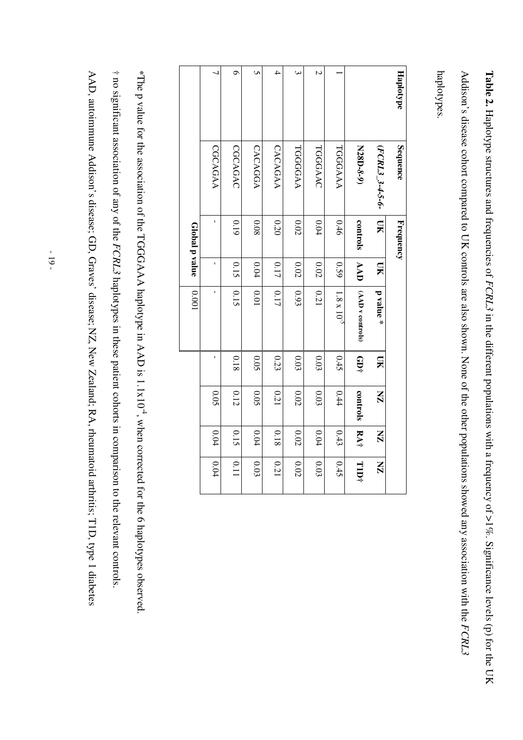**Table 2.** Haplotype structures and frequencies of *FCRL3* in the different populations with a frequency of  $>1\%$ . Significance levels (p) for the UK Addison's disease cohort compared to UK controls are also shown. None of the other populations showed any association with the FCRL3

haplotypes.

| Haplotype     | Sequence        | Frequency               |            |                      |           |          |                         |              |
|---------------|-----------------|-------------------------|------------|----------------------|-----------|----------|-------------------------|--------------|
|               | (FCRL3_3-4-5-6- | $\overline{\mathbf{M}}$ | <b>NK</b>  | ${\bf p}$ value *    | <b>DK</b> | X        | $\overline{\mathbf{X}}$ | $\mathbf{X}$ |
|               | N28D-8-9)       | controls                | <b>AAD</b> | (AAD v controls)     | f10+      | controls | RA†                     | TID†         |
|               | TGGGAAA         | 0.46                    | 630        | $1.8 \times 10^{-5}$ | 0.45      | 0.44     | 0.43                    | 0.45         |
| $\mathcal{C}$ | TGGGAAC         | 0.04                    | $0.02$     | 0.21                 | 0.03      | 0.03     | $0.04\,$                | 0.03         |
| ω             | TGGGGAA         | 0.02                    | 0.02       | 0.93                 | 0.03      | 0.02     | 0.02                    | 0.02         |
| 4             | CACAGAA         | 0.20                    | 0.17       | 0.17                 | 0.23      | 0.21     | 0.18                    | 0.21         |
| Ō             | <b>CACAGGA</b>  | 80.0                    | 0.04       | 0.01                 | 0.05      | 0.05     | $0.04\,$                | 0.03         |
| Φ             | CGCAGAC         | 0.19                    | 0.15       | 0.15                 | 0.18      | 0.12     | 0.15                    | 0.11         |
|               | CGCAGAA         | f,                      | ı          | ı                    | ı         | 0.05     | $0.04\,$                | 0.04         |
|               |                 | Global p value          |            | 1000                 |           |          |                         |              |

† no significant association of any of the FCRL3 haplotypes in these patient cohorts in comparison to the relevant controls \*The p value for the association of the TGGGAAA haplotype in AAD is 1.1x10<sup>4</sup>, when corrected for the 6 haplotypes observed. AAD, autoimmune Addison's disease; GD, Graves' disease; NZ, New Zealand; RA, rheumatoid arthritis; T1D, type 1 diabetes